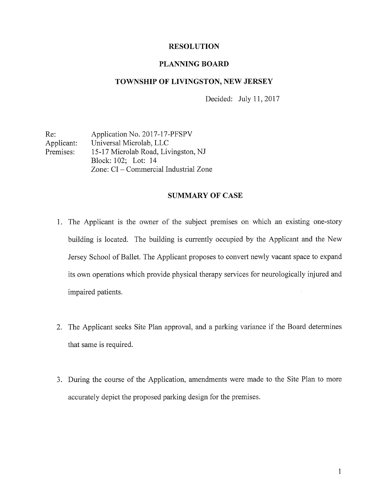### RESOLUTION

#### PLANNING BOARD

### TOWNSHIP OF LIVINGSTON, NEW JERSEY

Decided: July 11, 2017

Re: Application No. 2017-17-PFSPV Applicant: Universal Microlab, LLC Premises: 15-17 Microlab Road, Livingston, NJ Block: 102; Lot: 14 Zone: CI — Commercial Industrial Zone

### SUMMARY OF CASE

- 1. The Applicant is the owner of the subject premises on which an existing one-story building is located. The building is currently occupied by the Applicant and the New Jersey School of Ballet. The Applicant proposes to convert newly vacant space to expand its own operations which provide physical therapy services for neurologically injured and impaired patients.
- 2. The Applicant seeks Site Plan approval, and <sup>a</sup> parking variance if the Board determines that same is required.
- 3. During the course of the Application, amendments were made to the Site Plan to more accurately depict the proposed parking design for the premises.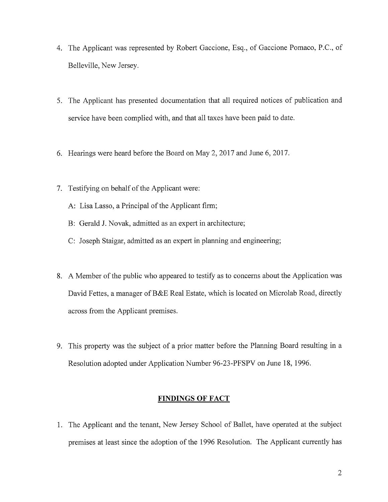- 4. The Applicant was represented by Robert Gaccione, Esq., of Gaccione Pomaco, P.C., of Belleville, New Jersey.
- 5. The Applicant has presented documentation that all required notices of publication and service have been complied with, and that all taxes have been paid to date.
- 6. Hearings were heard before the Board on May 2, 2017 and June 6, 2017.
- 7. Testifying on behalf of the Applicant were:
	- A: Lisa Lasso, a Principal of the Applicant firm;
	- B: Gerald J. Novak, admitted as an expert in architecture;
	- C: Joseph Staigar, admitted as an expert in planning and engineering;
- 8. A Member of the public who appeared to testify as to concerns about the Application was David Fettes, <sup>a</sup> manager of B&E Real Estate, which is located on Microlab Road, directly across from the Applicant premises.
- 9. This property was the subject of <sup>a</sup> prior matter before the Planning Board resulting in <sup>a</sup> Resolution adopted under Application Number 96-23-PFSPV on June 18, 1996.

## FINDINGS OF FACT

1. The Applicant and the tenant, New Jersey School of Ballet, have operated at the subject premises at least since the adoption of the 1996 Resolution. The Applicant currently has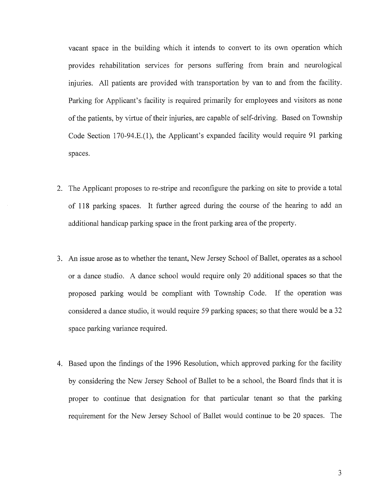vacant space in the building which it intends to convert to its own operation which provides rehabilitation services for persons suffering from brain and neurological injuries. All patients are provided with transportation by van to and from the facility. Parking for Applicant's facility is required primarily for employees and visitors as none of the patients, by virtue of their injuries, are capable of self-driving. Based on Township Code Section 170-94.E.(l), the Applicant's expanded facility would require 91 parking spaces.

- 2. The Applicant proposes to re-stripe and reconfigure the parking on site to provide a total of 118 parking spaces. It further agreed during the course of the hearing to add an additional handicap parking space in the front parking area of the property.
- 3. An issue arose as to whether the tenant, New Jersey School of Ballet, operates as <sup>a</sup> school or a dance studio. A dance school would require only 20 additional spaces so that the proposed parking would be compliant with Township Code. If the operation was considered a dance studio, it would require 59 parking spaces; so that there would be <sup>a</sup> 32 space parking variance required.
- 4. Based upon the findings of the 1996 Resolution, which approved parking for the facility by considering the New Jersey School of Ballet to be <sup>a</sup> school, the Board finds that it is proper to continue that designation for that particular tenant so that the parking requirement for the New Jersey School of Ballet would continue to be 20 spaces. The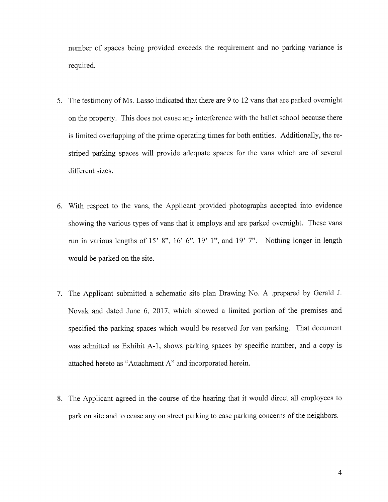number of spaces being provided exceeds the requirement and no parking variance is required.

- 5. The testimony of Ms. Lasso indicated that there are <sup>9</sup> to <sup>12</sup> vans that are parked overnight on the property. This does not cause any interference with the ballet school because there is limited overlapping of the prime operating times for both entities. Additionally, the re striped parking spaces will provide adequate spaces for the vans which are of several different sizes.
- 6. With respect to the vans, the Applicant provided photographs accepted into evidence showing the various types of vans that it employs and are parked overnight. These vans run in various lengths of 15' 8", 16' 6", 19' 1", and 19' 7". Nothing longer in length would be parked on the site.
- 7. The Applicant submitted a schematic site plan Drawing No. A .prepared by Gerald J. Novak and dated June 6, 2017, which showed <sup>a</sup> limited portion of the premises and specified the parking spaces which would be reserved for van parking. That document was admitted as Exhibit A-1, shows parking spaces by specific number, and a copy is attached hereto as "Attachment A" and incorporated herein.
- 8. The Applicant agreed in the course of the hearing that it would direct all employees to park on site and to cease any on street parking to ease parking concerns of the neighbors.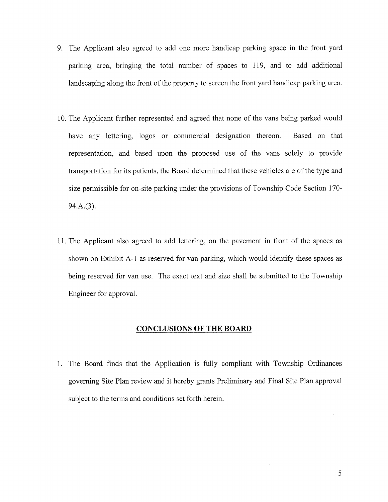- 9. The Applicant also agreed to add one more handicap parking space in the front yard parking area, bringing the total number of spaces to 119, and to add additional landscaping along the front of the property to screen the front yard handicap parking area.
- 10. The Applicant further represented and agreed that none of the vans being parked would have any lettering, logos or commercial designation thereon. Based on that representation, and based upon the proposed use of the vans solely to provide transportation for its patients, the Board determined that these vehicles are of the type and size permissible for on-site parking under the provisions of Township Code Section 170- 94.A.(3).
- 11. The Applicant also agreed to add lettering, on the pavement in front of the spaces as shown on Exhibit A-1 as reserved for van parking, which would identify these spaces as being reserved for van use. The exact text and size shall be submitted to the Township Engineer for approval.

#### CONCLUSIONS OF THE BOARD

1. The Board finds that the Application is fully compliant with Township Ordinances governing Site Plan review and it hereby grants Preliminary and Final Site Plan approval subject to the terms and conditions set forth herein.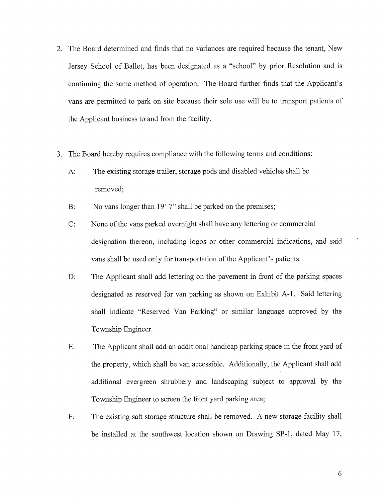- 2. The Board determined and finds that no variances are required because the tenant, New Jersey School of Ballet, has been designated as <sup>a</sup> "school" by prior Resolution and is continuing the same method of operation. The Board further finds that the Applicant's vans are permitted to park on site because their sole use will be to transport patients of the Applicant business to and from the facility.
- 3. The Board hereby requires compliance with the following terms and conditions:
	- A: The existing storage trailer, storage pods and disabled vehicles shall be removed;
	- B: No vans longer than 19' 7" shall be parked on the premises;
	- C: None of the vans parked overnight shall have any lettering or commercial designation thereon, including logos or other commercial indications, and said vans shall be used only for transportation of the Applicant's patients.
	- D: The Applicant shall add lettering on the pavement in front of the parking spaces designated as reserved for van parking as shown on Exhibit A-i. Said lettering shall indicate "Reserved Van Parking" or similar language approved by the Township Engineer.
	- E: The Applicant shall add an additional handicap parking space in the front yard of the property, which shall be van accessible. Additionally, the Applicant shall add additional evergreen shrubbery and landscaping subject to approval by the Township Engineer to screen the front yard parking area;
	- F: The existing salt storage structure shall be removed. A new storage facility shall be installed at the southwest location shown on Drawing SP-1, dated May 17,

6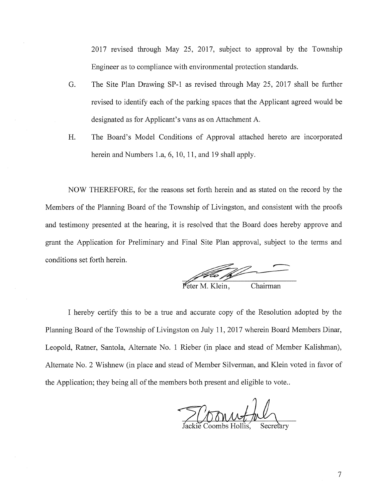2017 revised through May 25, 2017, subject to approval by the Township Engineer as to compliance with environmental protection standards.

- 0. The Site Plan Drawing SP-1 as revised through May 25, 2017 shall be further revised to identify each of the parking spaces that the Applicant agreed would be designated as for Applicant's vans as on Attachment A.
- H. The Board's Model Conditions of Approval attached hereto are incorporated herein and Numbers 1.a, 6, 10, 11, and 19 shall apply.

NOW THEREFORE, for the reasons set forth herein and as stated on the record by the Members of the Planning Board of the Township of Livingston, and consistent with the proofs and testimony presented at the hearing, it is resolved that the Board does hereby approve and grant the Application for Preliminary and Final Site Plan approval, subject to the terms and conditions set forth herein.

 $\frac{1}{\sqrt{2\pi}}$  M. Klein, Chairman

I hereby certify this to be <sup>a</sup> true and accurate copy of the Resolution adopted by the Planning Board of the Township of Livingston on July 11, 2017 wherein Board Members Dinar, Leopold, Ratner, Santola, Alternate No. <sup>1</sup> Rieber (in place and stead of Member Kalishman), Alternate No. <sup>2</sup> Wishnew (in place and stead of Member Silverman, and Klein voted in favor of the Application; they being all of the members both present and eligible to vote..

Coonnactive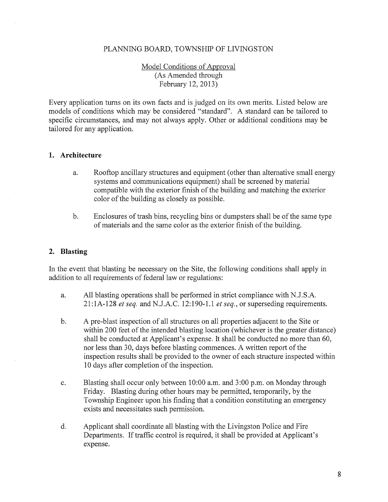### PLANNING BOARD, TOWNSHIP OF LIVINGSTON

## Model Conditions of Approval (As Amended through February 12, 2013)

Every application turns on its own facts and is judged on its own merits. Listed below are models of conditions which may be considered "standard". A standard can be tailored to specific circumstances, and may not always apply. Other or additional conditions may be tailored for any application.

#### 1. Architecture

- a. Rooftop ancillary structures and equipment (other than alternative small energy systems and communications equipment) shall be screened by material compatible with the exterior finish of the building and matching the exterior color of the building as closely as possible.
- b. Enclosures of trash bins, recycling bins or dumpsters shall be of the same type of materials and the same color as the exterior finish of the building.

### 2. Blasting

In the event that blasting be necessary on the Site, the following conditions shall apply in addition to all requirements of federal law or regulations:

- a. All blasting operations shall be performed in strict compliance with N.J.S.A.  $21:1A-128$  et seq. and N.J.A.C. 12:190-1.1 et seq., or superseding requirements.
- b. A pre-blast inspection of all structures on all properties adjacent to the Site or within 200 feet of the intended blasting location (whichever is the greater distance) shall be conducted at Applicant's expense. It shall be conducted no more than 60, nor less than 30, days before blasting commences. A written report of the inspection results shall be provided to the owner of each structure inspected within <sup>10</sup> days after completion of the inspection.
- c. Blasting shall occur only between 10:00 a.m. and 3:00 p.m. on Monday through Friday. Blasting during other hours may be permitted, temporarily, by the Township Engineer upon his finding that a condition constituting an emergency exists and necessitates such permission.
- d. Applicant shall coordinate all blasting with the Livingston Police and Fire Departments. If traffic control is required, it shall be provided at Applicant's expense.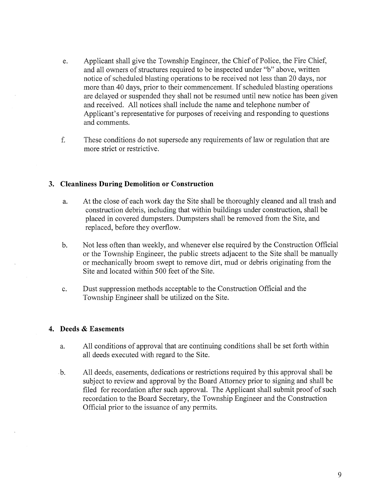- e. Applicant shall give the Township Engineer, the Chief of Police, the Fire Chief, and all owners of structures required to be inspected under "b" above, written notice of scheduled blasting operations to be received not less than 20 days, nor more than <sup>40</sup> days, prior to their commencement. If scheduled blasting operations are delayed or suspended they shall not be resumed until new notice has been given and received. All notices shall include the name and telephone number of Applicant's representative for purposes of receiving and responding to questions and comments.
- f. These conditions do not supersede any requirements of law or regulation that are more strict or restrictive.

### 3. Cleanliness During Demolition or Construction

- a. At the close of each work day the Site shall be thoroughly cleaned and all trash and construction debris, including that within buildings under construction, shall be placed in covered dumpsters. Dumpsters shall be removed from the Site, and replaced, before they overflow.
- b. Not less often than weekly, and whenever else required by the Construction Official or the Township Engineer, the public streets adjacent to the Site shall be manually or mechanically broom swept to remove dirt, mud or debris originating from the Site and located within 500 feet of the Site.
- c. Dust suppression methods acceptable to the Construction Official and the Township Engineer shall be utilized on the Site.

#### 4. Deeds & Easements

- a. All conditions of approval that are continuing conditions shall be set forth within all deeds executed with regard to the Site.
- b. All deeds, easements, dedications or restrictions required by this approval shall be subject to review and approval by the Board Attorney prior to signing and shall be filed for recordation after such approval. The Applicant shall submit proof of such recordation to the Board Secretary, the Township Engineer and the Construction Official prior to the issuance of any permits.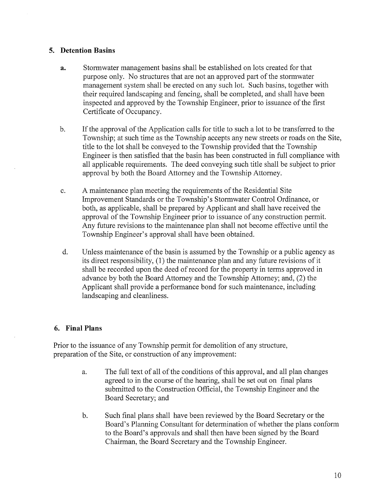## 5. Detention Basins

- a. Stormwater management basins shall be established on lots created for that purpose only. No structures that are not an approved part of the stormwater management system shall be erected on any such lot. Such basins, together with their required landscaping and fencing, shall be completed, and shall have been inspected and approved by the Township Engineer, prior to issuance of the first Certificate of Occupancy.
- b. If the approval of the Application calls for title to such <sup>a</sup> lot to be transferred to the Township; at such time as the Township accepts any new streets or roads on the Site, title to the lot shall be conveyed to the Township provided that the Township Engineer is then satisfied that the basin has been constructed in fill compliance with all applicable requirements. The deed conveying such title shall be subject to prior approval by both the Board Attorney and the Township Attorney.
- c. A maintenance plan meeting the requirements of the Residential Site Improvement Standards or the Township's Stormwater Control Ordinance, or both, as applicable, shall be prepared by Applicant and shall have received the approval of the Township Engineer prior to issuance of any construction permit. Any future revisions to the maintenance plan shall not become effective until the Township Engineer's approval shall have been obtained.
- d. Unless maintenance of the basin is assumed by the Township or <sup>a</sup> public agency as its direct responsibility, (1) the maintenance plan and any future revisions of it shall be recorded upon the deed of record for the property in terms approved in advance by both the Board Attorney and the Township Attorney; and, (2) the Applicant shall provide a performance bond for such maintenance, including landscaping and cleanliness.

## 6. Final Plans

Prior to the issuance of any Township permit for demolition of any structure, preparation of the Site, or construction of any improvement:

- a. The full text of all of the conditions of this approval, and all plan changes agreed to in the course of the hearing, shall be set out on final plans submitted to the Construction Official, the Township Engineer and the Board Secretary; and
- b. Such final plans shall have been reviewed by the Board Secretary or the Board's Planning Consultant for determination of whether the plans conform to the Board's approvals and shall then have been signed by the Board Chairman, the Board Secretary and the Township Engineer.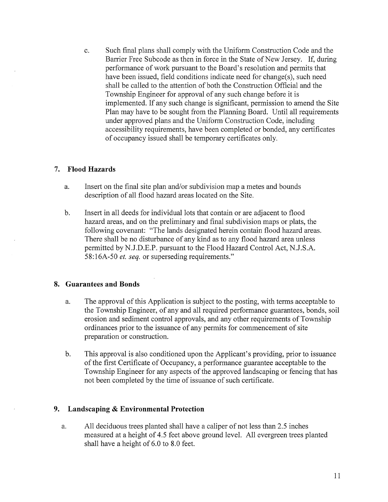c. Such final plans shall comply with the Uniform Construction Code and the Barrier Free Subcode as then in force in the State of New Jersey. If, during performance of work pursuant to the Board's resolution and permits that have been issued, field conditions indicate need for change(s), such need shall be called to the attention of both the Construction Official and the Township Engineer for approval of any such change before it is implemented. If any such change is significant, permission to amend the Site Plan may have to be sought from the Planning Board. Until all requirements under approved plans and the Uniform Construction Code, including accessibility requirements, have been completed or bonded, any certificates of occupancy issued shall be temporary certificates only.

## 7. Flood Hazards

- a. Insert on the final site plan and/or subdivision map a metes and bounds description of all flood hazard areas located on the Site.
- b. Insert in all deeds for individual lots that contain or are adjacent to flood hazard areas, and on the preliminary and final subdivision maps or plats, the following covenant: "The lands designated herein contain flood hazard areas. There shall be no disturbance of any kind as to any flood hazard area unless permitted by N.J.D.E.P. pursuant to the Flood Hazard Control Act, N.J.S.A. 58:16A-50 et. seq. or superseding requirements."

# 8. Guarantees and Bonds

- a. The approval of this Application is subject to the posting, with terms acceptable to the Township Engineer, of any and all required performance guarantees, bonds, soil erosion and sediment control approvals, and any other requirements of Township ordinances prior to the issuance of any permits for commencement of site preparation or construction.
- b. This approval is also conditioned upon the Applicant's providing, prior to issuance of the first Certificate of Occupancy, a performance guarantee acceptable to the Township Engineer for any aspects of the approved landscaping or fencing that has not been completed by the time of issuance of such certificate.

## 9. Landscaping & Environmental Protection

a. All deciduous trees planted shall have <sup>a</sup> caliper of not less than 2.5 inches measured at <sup>a</sup> height of 4.5 feet above ground level. All evergreen trees planted shall have a height of 6.0 to 8.0 feet.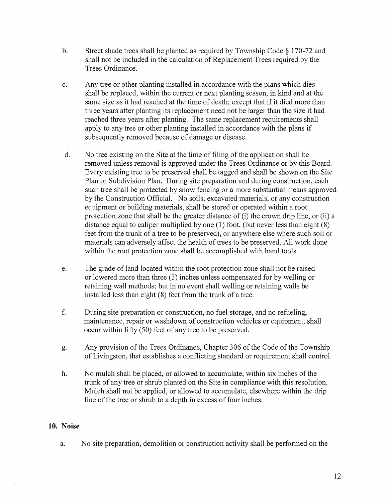- b. Street shade trees shall be planted as required by Township Code § 170-72 and shall not be included in the calculation of Replacement Trees required by the Trees Ordinance.
- c. Any tree or other planting installed in accordance with the plans which dies shall be replaced, within the current or next planting season, in kind and at the same size as it had reached at the time of death; except that if it died more than three years after planting its replacement need not be larger than the size it had reached three years after planting. The same replacement requirements shall apply to any tree or other planting installed in accordance with the plans if subsequently removed because of damage or disease.
- d. No tree existing on the Site at the time of filing of the application shall be removed unless removal is approved under the Trees Ordinance or by this Board. Every existing tree to be preserved shall be tagged and shall be shown on the Site Plan or Subdivision Plan. During site preparation and during construction, each such tree shall be protected by snow fencing or a more substantial means approved by the Construction Official. No soils, excavated materials, or any construction equipment or building materials, shall be stored or operated within a root protection zone that shall be the greater distance of (i) the crown drip line, or (ii) <sup>a</sup> distance equal to caliper multiplied by one  $(1)$  foot, (but never less than eight  $(8)$ ) feet from the trunk of <sup>a</sup> tree to be preserved), or anywhere else where such soil or materials can adversely affect the health of trees to be preserved. All work done within the root protection zone shall be accomplished with hand tools.
- e. The grade of land located within the root protection zone shall not be raised or lowered more than three (3) inches unless compensated for by welling or retaining wall methods; but in no event shall welling or retaining walls be installed less than eight (8) feet from the trunk of <sup>a</sup> tree.
- f. During site preparation or construction, no fuel storage, and no refueling, maintenance, repair or washdown of construction vehicles or equipment, shall occur within fifty (50) feet of any tree to be preserved.
- g. Any provision of the Trees Ordinance, Chapter 306 of the Code of the Township of Livingston, that establishes <sup>a</sup> conflicting standard or requirement shall control.
- h. No mulch shall be placed, or allowed to accumulate, within six inches of the trunk of any tree or shrub planted on the Site in compliance with this resolution. Mulch shall not be applied, or allowed to accumulate, elsewhere within the drip line of the tree or shrub to <sup>a</sup> depth in excess of four inches.

## 10. Noise

a. No site preparation, demolition or construction activity shall be performed on the

12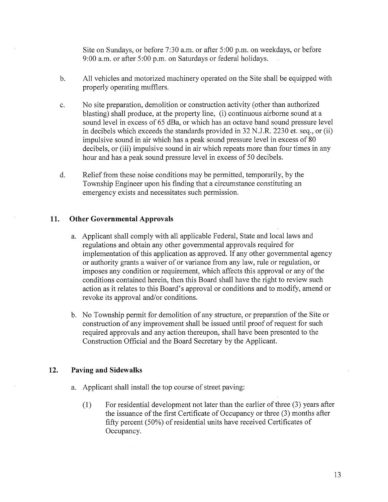Site on Sundays, or before 7:30 a.m. or after 5:00 p.m. on weekdays, or before 9:00 a.m. or after 5:00 p.m. on Saturdays or federal holidays.

- b. All vehicles and motorized machinery operated on the Site shall be equipped with properly operating mufflers.
- c. No site preparation, demolition or construction activity (other than authorized blasting) shall produce, at the property line, (i) continuous airborne sound at a sound level in excess of 65 dBa, or which has an octave band sound pressure level in decibels which exceeds the standards provided in 32 N.J.R. 2230 et. seq., or (ii) impulsive sound in air which has a peak sound pressure level in excess of 80 decibels, or (iii) impulsive sound in air which repeats more than four times in any hour and has a peak sound pressure level in excess of 50 decibels.
- d. Relief from these noise conditions may be permitted, temporarily, by the Township Engineer upon his finding that a circumstance constituting an emergency exists and necessitates such permission.

### 11. Other Governmental Approvals

- a. Applicant shall comply with all applicable Federal, State and local laws and regulations and obtain any other governmental approvals required for implementation of this application as approved. If any other governmental agency or authority grants a waiver of or variance from any law, rule or regulation, or imposes any condition or requirement, which affects this approval or any of the conditions contained herein, then this Board shall have the right to review such action as it relates to this Board's approval or conditions and to modify, amend or revoke its approval and/or conditions.
- b. No Township permit for demolition of any structure, or preparation of the Site or construction of any improvement shall be issued until proof of request for such required approvals and any action thereupon, shall have been presented to the Construction Official and the Board Secretary by the Applicant.

## 12. Paving and Sidewalks

- a. Applicant shall install the top course of street paving:
	- (1) For residential development not later than the earlier of three (3) years after the issuance of the first Certificate of Occupancy or three (3) months after fifty percent (50%) of residential units have received Certificates of Occupancy.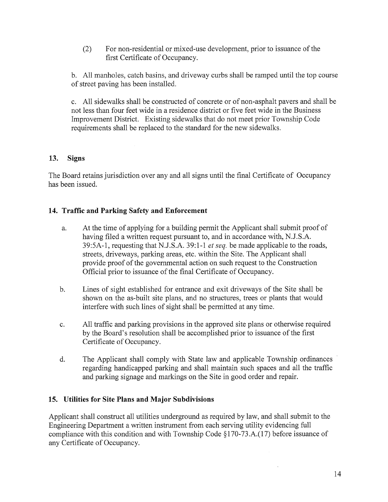(2) For non-residential or mixed-use development, prior to issuance of the first Certificate of Occupancy.

b. All manholes, catch basins, and driveway curbs shall be ramped until the top course of street paving has been installed.

c. All sidewalks shall be constructed of concrete or of non-asphalt payers and shall be not less than four feet wide in a residence district or five feet wide in the Business Improvement District. Existing sidewalks that do not meet prior Township Code requirements shall be replaced to the standard for the new sidewalks.

# 13. Signs

The Board retains jurisdiction over any and all signs until the final Certificate of Occupancy has been issued.

# 14. Traffic and Parking Safety and Enforcement

- a. At the time of applying for a building permit the Applicant shall submit proof of having filed a written request pursuant to, and in accordance with, N.J.S.A. 39:5A-1, requesting that N.J.S.A. 39:1-1 et seq. be made applicable to the roads, streets, driveways, parking areas, etc. within the Site. The Applicant shall provide proof of the governmental action on such request to the Construction Official prior to issuance of the final Certificate of Occupancy.
- b. Lines of sight established for entrance and exit driveways of the Site shall be shown on the as-built site plans, and no structures, trees or plants that would interfere with such lines of sight shall be permitted at any time.
- c. All traffic and parking provisions in the approved site plans or otherwise required by the Board's resolution shall be accomplished prior to issuance of the first Certificate of Occupancy.
- d. The Applicant shall comply with State law and applicable Township ordinances regarding handicapped parking and shall maintain such spaces and all the traffic and parking signage and markings on the Site in good order and repair.

# 15. Utilities for Site Plans and Major Subdivisions

Applicant shall construct all utilities underground as required by law, and shall submit to the Engineering Department <sup>a</sup> written instrument from each serving utility evidencing full compliance with this condition and with Township Code §170-73.A.(17) before issuance of any Certificate of Occupancy.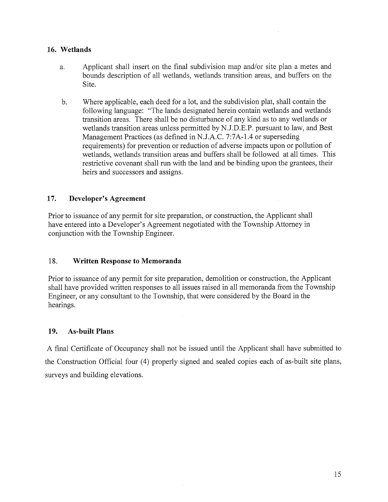## 16. Wetlands

- a. Applicant shall insert on the final subdivision map and/or site plan a metes and bounds description of all wetlands, wetlands transition areas, and buffers on the Site.
- b. Where applicable, each deed for a lot, and the subdivision plat, shall contain the following language: "The lands designated herein contain wetlands and wetlands transition areas. There shall be no disturbance of any kind as to any wetlands or wetlands transition areas unless permitted by N.J.D.E.P. pursuant to law, and Best Management Practices (as defined in N.J.A.C. 7:7A-1 .4 or superseding requirements) for prevention or reduction of adverse impacts upon or pollution of wetlands, wetlands transition areas and buffers shall be followed at all times. This restrictive covenant shall run with the land and be binding upon the grantees, their heirs and successors and assigns.

## 17. Developer's Agreement

Prior to issuance of any permit for site preparation, or construction, the Applicant shall have entered into a Developer's Agreement negotiated with the Township Attorney in conjunction with the Township Engineer.

## 18. Written Response to Memoranda

Prior to issuance of any permit for site preparation, demolition or construction, the Applicant shall have provided written responses to all issues raised in all memoranda from the Township Engineer, or any consultant to the Township, that were considered by the Board in the hearings.

## 19. As-built Plans

A final Certificate of Occupancy shall not be issued until the Applicant shall have submitted to the Construction Official four (4) properly signed and sealed copies each of as-built site plans, surveys and building elevations.